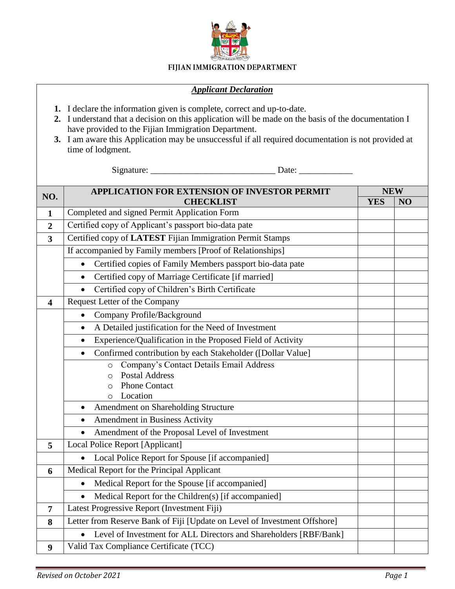

## FIJIAN IMMIGRATION DEPARTMENT

## *Applicant Declaration*

- **1.** I declare the information given is complete, correct and up-to-date.
- **2.** I understand that a decision on this application will be made on the basis of the documentation I have provided to the Fijian Immigration Department.
- **3.** I am aware this Application may be unsuccessful if all required documentation is not provided at time of lodgment.

Signature: \_\_\_\_\_\_\_\_\_\_\_\_\_\_\_\_\_\_\_\_\_\_\_\_\_\_\_\_ Date: \_\_\_\_\_\_\_\_\_\_\_\_

| NO.                     | <b>APPLICATION FOR EXTENSION OF INVESTOR PERMIT</b>                            |            | <b>NEW</b> |  |
|-------------------------|--------------------------------------------------------------------------------|------------|------------|--|
|                         | <b>CHECKLIST</b>                                                               | <b>YES</b> | NO         |  |
| $\mathbf{1}$            | Completed and signed Permit Application Form                                   |            |            |  |
| $\overline{2}$          | Certified copy of Applicant's passport bio-data pate                           |            |            |  |
| 3                       | Certified copy of LATEST Fijian Immigration Permit Stamps                      |            |            |  |
|                         | If accompanied by Family members [Proof of Relationships]                      |            |            |  |
|                         | Certified copies of Family Members passport bio-data pate<br>$\bullet$         |            |            |  |
|                         | Certified copy of Marriage Certificate [if married]<br>$\bullet$               |            |            |  |
|                         | Certified copy of Children's Birth Certificate                                 |            |            |  |
| $\overline{\mathbf{4}}$ | <b>Request Letter of the Company</b>                                           |            |            |  |
|                         | Company Profile/Background<br>$\bullet$                                        |            |            |  |
|                         | A Detailed justification for the Need of Investment<br>$\bullet$               |            |            |  |
|                         | Experience/Qualification in the Proposed Field of Activity<br>$\bullet$        |            |            |  |
|                         | Confirmed contribution by each Stakeholder ([Dollar Value]                     |            |            |  |
|                         | Company's Contact Details Email Address<br>$\circ$                             |            |            |  |
|                         | <b>Postal Address</b><br>$\circ$                                               |            |            |  |
|                         | <b>Phone Contact</b><br>$\Omega$<br>Location                                   |            |            |  |
|                         | O<br>Amendment on Shareholding Structure                                       |            |            |  |
|                         | Amendment in Business Activity<br>$\bullet$                                    |            |            |  |
|                         | Amendment of the Proposal Level of Investment                                  |            |            |  |
| 5                       | Local Police Report [Applicant]                                                |            |            |  |
|                         | Local Police Report for Spouse [if accompanied]                                |            |            |  |
| 6                       | Medical Report for the Principal Applicant                                     |            |            |  |
|                         | Medical Report for the Spouse [if accompanied]<br>$\bullet$                    |            |            |  |
|                         | Medical Report for the Children(s) [if accompanied]                            |            |            |  |
| $\overline{7}$          | Latest Progressive Report (Investment Fiji)                                    |            |            |  |
| 8                       | Letter from Reserve Bank of Fiji [Update on Level of Investment Offshore]      |            |            |  |
|                         | Level of Investment for ALL Directors and Shareholders [RBF/Bank]<br>$\bullet$ |            |            |  |
| 9                       | Valid Tax Compliance Certificate (TCC)                                         |            |            |  |